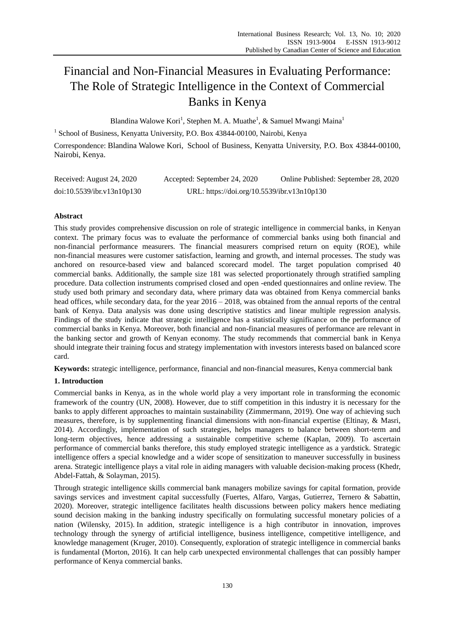# Financial and Non-Financial Measures in Evaluating Performance: The Role of Strategic Intelligence in the Context of Commercial Banks in Kenya

Blandina Walowe Kori<sup>1</sup>, Stephen M. A. Muathe<sup>1</sup>, & Samuel Mwangi Maina<sup>1</sup>

<sup>1</sup> School of Business, Kenyatta University, P.O. Box 43844-00100, Nairobi, Kenya

Correspondence: Blandina Walowe Kori, School of Business, Kenyatta University, P.O. Box 43844-00100, Nairobi, Kenya.

| Received: August 24, 2020  | Accepted: September 24, 2020                | Online Published: September 28, 2020 |
|----------------------------|---------------------------------------------|--------------------------------------|
| doi:10.5539/ibr.v13n10p130 | URL: https://doi.org/10.5539/ibr.v13n10p130 |                                      |

# **Abstract**

This study provides comprehensive discussion on role of strategic intelligence in commercial banks, in Kenyan context. The primary focus was to evaluate the performance of commercial banks using both financial and non-financial performance measurers. The financial measurers comprised return on equity (ROE), while non-financial measures were customer satisfaction, learning and growth, and internal processes. The study was anchored on resource-based view and balanced scorecard model. The target population comprised 40 commercial banks. Additionally, the sample size 181 was selected proportionately through stratified sampling procedure. Data collection instruments comprised closed and open -ended questionnaires and online review. The study used both primary and secondary data, where primary data was obtained from Kenya commercial banks head offices, while secondary data, for the year  $2016 - 2018$ , was obtained from the annual reports of the central bank of Kenya. Data analysis was done using descriptive statistics and linear multiple regression analysis. Findings of the study indicate that strategic intelligence has a statistically significance on the performance of commercial banks in Kenya. Moreover, both financial and non-financial measures of performance are relevant in the banking sector and growth of Kenyan economy. The study recommends that commercial bank in Kenya should integrate their training focus and strategy implementation with investors interests based on balanced score card.

**Keywords:** strategic intelligence, performance, financial and non-financial measures, Kenya commercial bank

# **1. Introduction**

Commercial banks in Kenya, as in the whole world play a very important role in transforming the economic framework of the country (UN, 2008). However, due to stiff competition in this industry it is necessary for the banks to apply different approaches to maintain sustainability (Zimmermann, 2019). One way of achieving such measures, therefore, is by supplementing financial dimensions with non-financial expertise (Eltinay, & Masri, 2014). Accordingly, implementation of such strategies, helps managers to balance between short-term and long-term objectives, hence addressing a sustainable competitive scheme (Kaplan, 2009). To ascertain performance of commercial banks therefore, this study employed strategic intelligence as a yardstick. Strategic intelligence offers a special knowledge and a wider scope of sensitization to maneuver successfully in business arena. Strategic intelligence plays a vital role in aiding managers with valuable decision-making process (Khedr, Abdel-Fattah, & Solayman, 2015).

Through strategic intelligence skills commercial bank managers mobilize savings for capital formation, provide savings services and investment capital successfully (Fuertes, Alfaro, Vargas, Gutierrez, Ternero & Sabattin, 2020). Moreover, strategic intelligence facilitates health discussions between policy makers hence mediating sound decision making in the banking industry specifically on formulating successful monetary policies of a nation (Wilensky, 2015). In addition, strategic intelligence is a high contributor in innovation, improves technology through the synergy of artificial intelligence, business intelligence, competitive intelligence, and knowledge management (Kruger, 2010). Consequently, exploration of strategic intelligence in commercial banks is fundamental (Morton, 2016). It can help carb unexpected environmental challenges that can possibly hamper performance of Kenya commercial banks.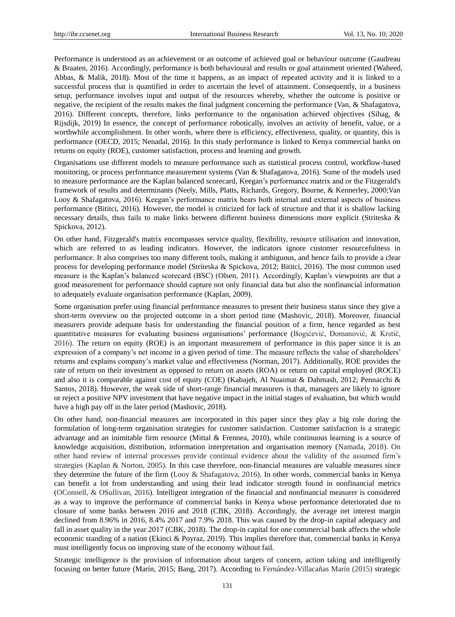Performance is understood as an achievement or an outcome of achieved goal or behaviour outcome (Gaudreau & Braaten, 2016). Accordingly, performance is both behavioural and results or goal attainment oriented (Waheed, Abbas, & Malik, 2018). Most of the time it happens, as an impact of repeated activity and it is linked to a successful process that is quantified in order to ascertain the level of attainment. Consequently, in a business setup, performance involves input and output of the resources whereby, whether the outcome is positive or negative, the recipient of the results makes the final judgment concerning the performance (Van, & Shafagatova, 2016). Different concepts, therefore, links performance to the organisation achieved objectives (Sihag, & Rijsdijk, 2019) In essence, the concept of performance robotically, involves an activity of benefit, value, or a worthwhile accomplishment. In other words, where there is efficiency, effectiveness, quality, or quantity, this is performance (OECD, 2015; Nenadal, 2016). In this study performance is linked to Kenya commercial banks on returns on equity (ROE), customer satisfaction, process and learning and growth.

Organisations use different models to measure performance such as statistical process control, workflow-based monitoring, or process performance measurement systems (Van & Shafagatova, 2016). Some of the models used to measure performance are the Kaplan balanced scorecard, [Keegan'](http://www.referenceforbusiness.com/knowledge/Keegan.html)s performance matrix and or the [Fitzgerald's](http://www.referenceforbusiness.com/knowledge/FitzGerald_dynasty.html) framework of results and determinants (Neely, Mills, Platts, Richards, Gregory, Bourne, & Kennerley, 2000;Van Looy & Shafagatova, 2016). Keegan's performance matrix bears both internal and external aspects of business performance (Bititci, 2016). However, the model is criticized for lack of structure and that it is shallow lacking necessary details, thus fails to make links between different business dimensions more explicit (Striteska & Spickova, 2012).

On other hand, [Fitzgerald's](http://www.referenceforbusiness.com/knowledge/FitzGerald_dynasty.html) matrix encompasses service quality, flexibility, resource utilisation and innovation, which are referred to as leading indicators. However, the indicators ignore customer resourcefulness in performance. It also comprises too many different tools, making it ambiguous, and hence fails to provide a clear process for developing performance model (Striteska & Spickova, 2012; Bititci, 2016). The most common used measure is the Kaplan's balanced scorecard (BSC) (Olsen, 2011). Accordingly, Kaplan's viewpoints are that a good measurement for performance should capture not only financial data but also the nonfinancial information to adequately evaluate organisation performance (Kaplan, 2009).

Some organisation prefer using financial performance measures to present their business status since they give a short-term overview on the projected outcome in a short period time (Mashovic, 2018). Moreover, financial measurers provide adequate basis for understanding the financial position of a firm, hence regarded as best quantitative measures for evaluating business organisations' performance (Bogićević, Domanović, & Krstić, 2016). The return on equity (ROE) is an important measurement of performance in this paper since it is an expression of a company's net income in a given period of time. The measure reflects the value of shareholders' returns and explains company's market value and effectiveness (Norman, 2017). Additionally, ROE provides the rate of return on their investment as opposed to return on assets (ROA) or return on capital employed (ROCE) and also it is comparable against cost of equity (COE) (Kabajeh, Al Nuaimat & Dahmash, 2012; Pennacchi & Santos, 2018). However, the weak side of short-range financial measurers is that, managers are likely to ignore or reject a positive NPV investment that have negative impact in the initial stages of evaluation, but which would have a high pay off in the later period (Mashovic, 2018).

On other hand, non-financial measures are incorporated in this paper since they play a big role during the formulation of long-term organisation strategies for customer satisfaction. Customer satisfaction is a strategic advantage and an inimitable firm resource (Mittal & Frennea, 2010), while continuous learning is a source of knowledge acquisition, distribution, information interpretation and organisation memory (Namada, 2018). On other hand review of internal processes provide continual evidence about the validity of the assumed firm's strategies (Kaplan & Norton, 2005). In this case therefore, non-financial measures are valuable measures since they determine the future of the firm (Looy & Shafagatova, 2016). In other words, commercial banks in Kenya can benefit a lot from understanding and using their lead indicator strength found in nonfinancial metrics (OConnell, & OSullivan, 2016). Intelligent integration of the financial and nonfinancial measurer is considered as a way to improve the performance of commercial banks in Kenya whose performance deteriorated due to closure of some banks between 2016 and 2018 (CBK, 2018). Accordingly, the average net interest margin declined from 8.96% in 2016, 8.4% 2017 and 7.9% 2018. This was caused by the drop-in capital adequacy and fall in asset quality in the year 2017 (CBK, 2018). The drop-in capital for one commercial bank affects the whole economic standing of a nation (Ekinci & Poyraz, 2019). This implies therefore that, commercial banks in Kenya must intelligently focus on improving state of the economy without fail.

Strategic intelligence is the provision of information about targets of concern, action taking and intelligently focusing on better future (Marín, 2015; Bang, 2017). According to Fernández-Villacañas Marín (2015) strategic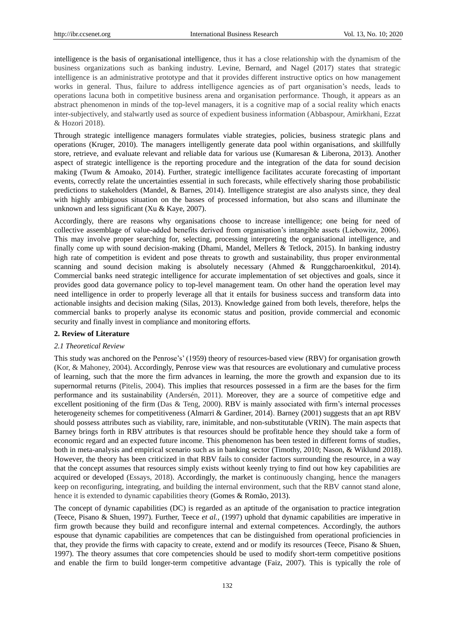intelligence is the basis of organisational intelligence, thus it has a close relationship with the dynamism of the business organizations such as banking industry. Levine, Bernard, and Nagel (2017) states that strategic intelligence is an administrative prototype and that it provides different instructive optics on how management works in general. Thus, failure to address intelligence agencies as of part organisation's needs, leads to operations lacuna both in competitive business arena and organisation performance. Though, it appears as an abstract phenomenon in minds of the top-level managers, it is a cognitive map of a social reality which enacts inter-subjectively, and stalwartly used as source of expedient business information (Abbaspour, Amirkhani, Ezzat & Hozori 2018).

Through strategic intelligence managers formulates viable strategies, policies, business strategic plans and operations (Kruger, 2010). The managers intelligently generate data pool within organisations, and skillfully store, retrieve, and evaluate relevant and reliable data for various use (Kumaresan & Liberona, 2013). Another aspect of strategic intelligence is the reporting procedure and the integration of the data for sound decision making (Twum & Amoako, 2014). Further, strategic intelligence facilitates accurate forecasting of important events, correctly relate the uncertainties essential in such forecasts, while effectively sharing those probabilistic predictions to stakeholders (Mandel, & Barnes, 2014). Intelligence strategist are also analysts since, they deal with highly ambiguous situation on the basses of processed information, but also scans and illuminate the unknown and less significant (Xu & Kaye, 2007).

Accordingly, there are reasons why organisations choose to increase intelligence; one being for need of collective assemblage of value-added benefits derived from organisation's intangible assets (Liebowitz, 2006). This may involve proper searching for, selecting, processing interpreting the organisational intelligence, and finally come up with sound decision-making (Dhami, Mandel, Mellers & Tetlock, 2015). In banking industry high rate of competition is evident and pose threats to growth and sustainability, thus proper environmental scanning and sound decision making is absolutely necessary (Ahmed & Runggcharoenkitkul, 2014). Commercial banks need strategic intelligence for accurate implementation of set objectives and goals, since it provides good data governance policy to top-level management team. On other hand the operation level may need intelligence in order to properly leverage all that it entails for business success and transform data into actionable insights and decision making (Silas, 2013). Knowledge gained from both levels, therefore, helps the commercial banks to properly analyse its economic status and position, provide commercial and economic security and finally invest in compliance and monitoring efforts.

## **2. Review of Literature**

#### *2.1 Theoretical Review*

This study was anchored on the Penrose's' (1959) theory of resources-based view (RBV) for organisation growth (Kor, & Mahoney, 2004). Accordingly, Penrose view was that resources are evolutionary and cumulative process of learning, such that the more the firm advances in learning, the more the growth and expansion due to its supernormal returns (Pitelis, 2004). This implies that resources possessed in a firm are the bases for the firm performance and its sustainability (Andersén, 2011). Moreover, they are a source of competitive edge and excellent positioning of the firm (Das & Teng, 2000). RBV is mainly associated with firm's internal processes heterogeneity schemes for competitiveness (Almarri & Gardiner, 2014). Barney (2001) suggests that an apt RBV should possess attributes such as viability, rare, inimitable, and non-substitutable (VRIN). The main aspects that Barney brings forth in RBV attributes is that resources should be profitable hence they should take a form of economic regard and an expected future income. This phenomenon has been tested in different forms of studies, both in meta-analysis and empirical scenario such as in banking sector (Timothy, 2010; Nason, & Wiklund 2018). However, the theory has been criticized in that RBV fails to consider factors surrounding the resource, in a way that the concept assumes that resources simply exists without keenly trying to find out how key capabilities are acquired or developed (Essays, 2018). Accordingly, the market is continuously changing, hence the managers keep on reconfiguring, integrating, and building the internal environment, such that the RBV cannot stand alone, hence it is extended to dynamic capabilities theory (Gomes & Romão, 2013).

The concept of dynamic capabilities (DC) is regarded as an aptitude of the organisation to practice integration (Teece, Pisano & Shuen, 1997). Further, Teece *et al.,* (1997) uphold that dynamic capabilities are imperative in firm growth because they build and reconfigure internal and external competences. Accordingly, the authors espouse that dynamic capabilities are competences that can be distinguished from operational proficiencies in that, they provide the firms with capacity to create, extend and or modify its resources (Teece, Pisano & Shuen, 1997). The theory assumes that core competencies should be used to modify short-term competitive positions and enable the firm to build longer-term competitive advantage (Faiz, 2007). This is typically the role of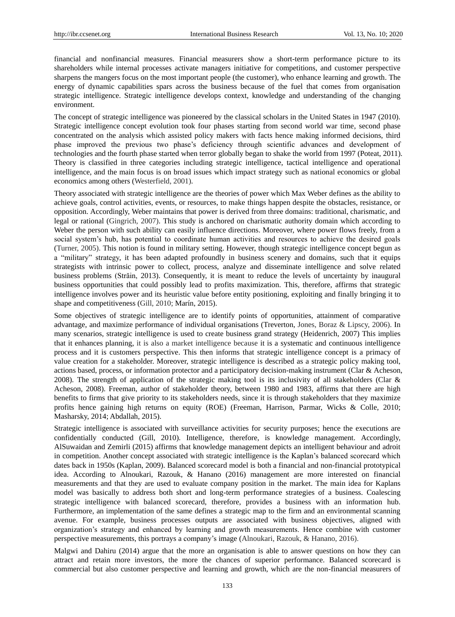financial and nonfinancial measures. Financial measurers show a short-term performance picture to its shareholders while internal processes activate managers initiative for competitions, and customer perspective sharpens the mangers focus on the most important people (the customer), who enhance learning and growth. The energy of dynamic capabilities spars across the business because of the fuel that comes from organisation strategic intelligence. Strategic intelligence develops context, knowledge and understanding of the changing environment.

The concept of strategic intelligence was pioneered by the classical scholars in the United States in 1947 (2010). Strategic intelligence concept evolution took four phases starting from second world war time, second phase concentrated on the analysis which assisted policy makers with facts hence making informed decisions, third phase improved the previous two phase's deficiency through scientific advances and development of technologies and the fourth phase started when terror globally began to shake the world from 1997 (Poteat, 2011). Theory is classified in three categories including strategic intelligence, tactical intelligence and operational intelligence, and the main focus is on broad issues which impact strategy such as national economics or global economics among others (Westerfield, 2001).

Theory associated with strategic intelligence are the theories of power which Max Weber defines as the ability to achieve goals, control activities, events, or resources, to make things happen despite the obstacles, resistance, or opposition. Accordingly, Weber maintains that power is derived from three domains: traditional, charismatic, and legal or rational (Gingrich, 2007). This study is anchored on charismatic authority domain which according to Weber the person with such ability can easily influence directions. Moreover, where power flows freely, from a social system's hub, has potential to coordinate human activities and resources to achieve the desired goals (Turner, 2005). This notion is found in military setting. However, though strategic intelligence concept begun as a "military" strategy, it has been adapted profoundly in business scenery and domains, such that it equips strategists with intrinsic power to collect, process, analyze and disseminate intelligence and solve related business problems (Străin, 2013). Consequently, it is meant to reduce the levels of uncertainty by inaugural business opportunities that could possibly lead to profits maximization. This, therefore, affirms that strategic intelligence involves power and its heuristic value before entity positioning, exploiting and finally bringing it to shape and competitiveness (Gill, 2010; Mar *n*, 2015).

Some objectives of strategic intelligence are to identify points of opportunities, attainment of comparative advantage, and maximize performance of individual organisations (Treverton, Jones, Boraz & Lipscy, 2006). In many scenarios, strategic intelligence is used to create business grand strategy (Heidenrich, 2007) This implies that it enhances planning, it is also a market intelligence because it is a systematic and continuous intelligence process and it is customers perspective. This then informs that strategic intelligence concept is a primacy of value creation for a stakeholder. Moreover, strategic intelligence is described as a strategic policy making tool, actions based, process, or information protector and a participatory decision-making instrument (Clar & Acheson, 2008). The strength of application of the strategic making tool is its inclusivity of all stakeholders (Clar & Acheson, 2008). Freeman, author of stakeholder theory, between 1980 and 1983, affirms that there are high benefits to firms that give priority to its stakeholders needs, since it is through stakeholders that they maximize profits hence gaining high returns on equity (ROE) (Freeman, Harrison, Parmar, Wicks & Colle, 2010; Masharsky, 2014; Abdallah, 2015).

Strategic intelligence is associated with surveillance activities for security purposes; hence the executions are confidentially conducted (Gill, 2010). Intelligence, therefore, is knowledge management. Accordingly, AlSuwaidan and Zemirli (2015) affirms that knowledge management depicts an intelligent behaviour and adroit in competition. Another concept associated with strategic intelligence is the Kaplan's balanced scorecard which dates back in 1950s (Kaplan, 2009). Balanced scorecard model is both a financial and non-financial prototypical idea. According to Alnoukari, Razouk, & Hanano (2016) management are more interested on financial measurements and that they are used to evaluate company position in the market. The main idea for Kaplans model was basically to address both short and long-term performance strategies of a business. Coalescing strategic intelligence with balanced scorecard, therefore, provides a business with an information hub. Furthermore, an implementation of the same defines a strategic map to the firm and an environmental scanning avenue. For example, business processes outputs are associated with business objectives, aligned with organization's strategy and enhanced by learning and growth measurements. Hence combine with customer perspective measurements, this portrays a company's image (Alnoukari, Razouk, & Hanano, 2016).

Malgwi and Dahiru (2014) argue that the more an organisation is able to answer questions on how they can attract and retain more investors, the more the chances of superior performance. Balanced scorecard is commercial but also customer perspective and learning and growth, which are the non-financial measurers of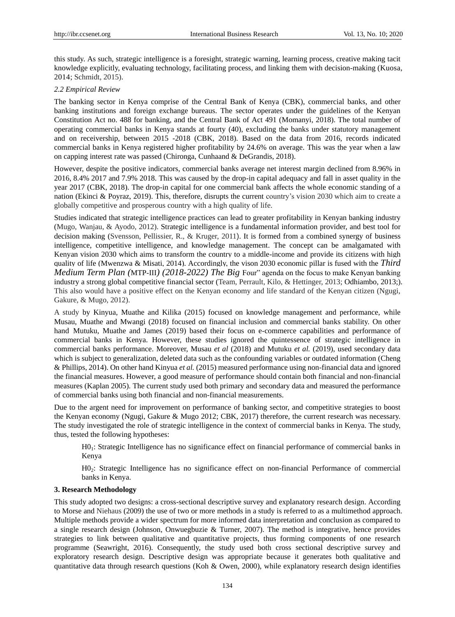this study. As such, strategic intelligence is a foresight, strategic warning, learning process, creative making tacit knowledge explicitly, evaluating technology, facilitating process, and linking them with decision-making (Kuosa, 2014; Schmidt, 2015).

# *2.2 Empirical Review*

The banking sector in Kenya comprise of the Central Bank of Kenya (CBK), commercial banks, and other banking institutions and foreign exchange bureaus. The sector operates under the guidelines of the Kenyan Constitution Act no. 488 for banking, and the Central Bank of Act 491 (Momanyi, 2018). The total number of operating commercial banks in Kenya stands at fourty (40), excluding the banks under statutory management and on receivership, between 2015 -2018 (CBK, 2018). Based on the data from 2016, records indicated commercial banks in Kenya registered higher profitability by 24.6% on average. This was the year when a law on capping interest rate was passed (Chironga, Cunhaand & DeGrandis, 2018).

However, despite the positive indicators, commercial banks average net interest margin declined from 8.96% in 2016, 8.4% 2017 and 7.9% 2018. This was caused by the drop-in capital adequacy and fall in asset quality in the year 2017 (CBK, 2018). The drop-in capital for one commercial bank affects the whole economic standing of a nation (Ekinci & Poyraz, 2019). This, therefore, disrupts the current country's vision 2030 which aim to create a globally competitive and prosperous country with a high quality of life.

Studies indicated that strategic intelligence practices can lead to greater profitability in Kenyan banking industry (Mugo, Wanjau, & Ayodo, 2012). Strategic intelligence is a fundamental information provider, and best tool for decision making (Svensson, Pellissier, R., & Kruger, 2011). It is formed from a combined synergy of business intelligence, competitive intelligence, and knowledge management. The concept can be amalgamated with Kenyan vision 2030 which aims to transform the country to a middle-income and provide its citizens with high quality of life (Mwenzwa & Misati, 2014). Accordingly, the vison 2030 economic pillar is fused with the *Third Medium Term Plan (MTP-III) (2018-2022) The Big Four*" agenda on the focus to make Kenyan banking industry a strong global competitive financial sector (Team, Perrault, Kilo, & Hettinger, 2013; Odhiambo, 2013;). This also would have a positive effect on the Kenyan economy and life standard of the Kenyan citizen (Ngugi, Gakure, & Mugo, 2012).

A study by Kinyua, Muathe and Kilika (2015) focused on knowledge management and performance, while Musau, Muathe and Mwangi (2018) focused on financial inclusion and commercial banks stability. On other hand Mutuku, Muathe and James (2019) based their focus on e-commerce capabilities and performance of commercial banks in Kenya. However, these studies ignored the quintessence of strategic intelligence in commercial banks performance. Moreover, Musau *et al* (2018) and Mutuku *et al.* (2019), used secondary data which is subject to generalization, deleted data such as the confounding variables or outdated information (Cheng & Phillips, 2014). On other hand Kinyua *et al.* (2015) measured performance using non-financial data and ignored the financial measures. However, a good measure of performance should contain both financial and non-financial measures (Kaplan 2005). The current study used both primary and secondary data and measured the performance of commercial banks using both financial and non-financial measurements.

Due to the argent need for improvement on performance of banking sector, and competitive strategies to boost the Kenyan economy (Ngugi, Gakure & Mugo 2012; CBK, 2017) therefore, the current research was necessary. The study investigated the role of strategic intelligence in the context of commercial banks in Kenya. The study, thus, tested the following hypotheses:

H01: Strategic Intelligence has no significance effect on financial performance of commercial banks in Kenya

H02: Strategic Intelligence has no significance effect on non-financial Performance of commercial banks in Kenya.

## **3. Research Methodology**

This study adopted two designs: a cross-sectional descriptive survey and explanatory research design. According to Morse and Niehaus (2009) the use of two or more methods in a study is referred to as a multimethod approach. Multiple methods provide a wider spectrum for more informed data interpretation and conclusion as compared to a single research design (Johnson, Onwuegbuzie & Turner, 2007). The method is integrative, hence provides strategies to link between qualitative and quantitative projects, thus forming components of one research programme (Seawright, 2016). Consequently, the study used both cross sectional descriptive survey and exploratory research design. Descriptive design was appropriate because it generates both qualitative and quantitative data through research questions (Koh & Owen, 2000), while explanatory research design identifies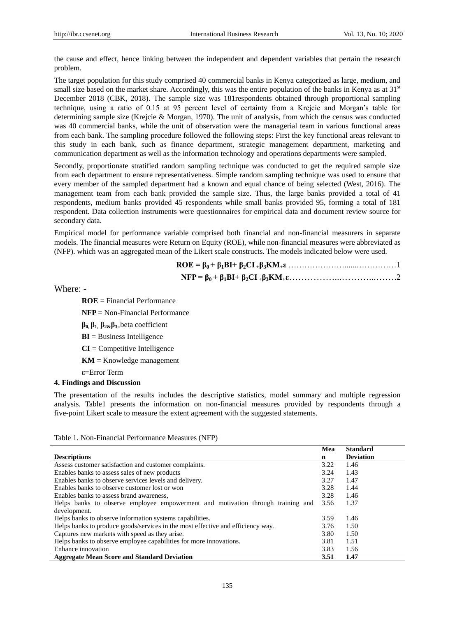the cause and effect, hence linking between the independent and dependent variables that pertain the research problem.

The target population for this study comprised 40 commercial banks in Kenya categorized as large, medium, and small size based on the market share. Accordingly, this was the entire population of the banks in Kenya as at  $31<sup>st</sup>$ December 2018 (CBK, 2018). The sample size was 181respondents obtained through proportional sampling technique, using a ratio of 0.15 at 95 percent level of certainty from a Krejcie and Morgan's table for determining sample size (Krejcie & Morgan, 1970). The unit of analysis, from which the census was conducted was 40 commercial banks, while the unit of observation were the managerial team in various functional areas from each bank. The sampling procedure followed the following steps: First the key functional areas relevant to this study in each bank, such as finance department, strategic management department, marketing and communication department as well as the information technology and operations departments were sampled.

Secondly, proportionate stratified random sampling technique was conducted to get the required sample size from each department to ensure representativeness. Simple random sampling technique was used to ensure that every member of the sampled department had a known and equal chance of being selected (West, 2016). The management team from each bank provided the sample size. Thus, the large banks provided a total of 41 respondents, medium banks provided 45 respondents while small banks provided 95, forming a total of 181 respondent. Data collection instruments were questionnaires for empirical data and document review source for secondary data.

Empirical model for performance variable comprised both financial and non-financial measurers in separate models. The financial measures were Return on Equity (ROE), while non-financial measures were abbreviated as (NFP). which was an aggregated mean of the Likert scale constructs. The models indicated below were used.

Where: -

**ROE** = Financial Performance

**NFP** = Non-Financial Performance

**β0, β1, β2&β3=**beta coefficient

**BI** = Business Intelligence

**CI** = Competitive Intelligence

**KM =** Knowledge management

**ε**=Error Term

# **4. Findings and Discussion**

The presentation of the results includes the descriptive statistics, model summary and multiple regression analysis. Table1 presents the information on non-financial measures provided by respondents through a five-point Likert scale to measure the extent agreement with the suggested statements.

|                                                                                 | Mea  | <b>Standard</b>  |
|---------------------------------------------------------------------------------|------|------------------|
| <b>Descriptions</b>                                                             | n    | <b>Deviation</b> |
| Assess customer satisfaction and customer complaints.                           | 3.22 | 1.46             |
| Enables banks to assess sales of new products                                   | 3.24 | 1.43             |
| Enables banks to observe services levels and delivery.                          | 3.27 | 1.47             |
| Enables banks to observe customer lost or won                                   | 3.28 | 1.44             |
| Enables banks to assess brand awareness,                                        | 3.28 | 1.46             |
| Helps banks to observe employee empowerment and motivation through training and | 3.56 | 1.37             |
| development.                                                                    |      |                  |
| Helps banks to observe information systems capabilities.                        | 3.59 | 1.46             |
| Helps banks to produce goods/services in the most effective and efficiency way. | 3.76 | 1.50             |
| Captures new markets with speed as they arise.                                  | 3.80 | 1.50             |
| Helps banks to observe employee capabilities for more innovations.              | 3.81 | 1.51             |
| Enhance innovation                                                              | 3.83 | 1.56             |
| <b>Aggregate Mean Score and Standard Deviation</b>                              | 3.51 | 1.47             |

Table 1. Non-Financial Performance Measures (NFP)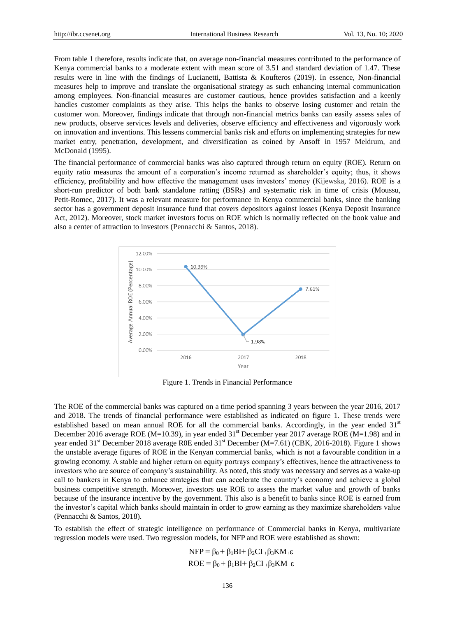From table 1 therefore, results indicate that, on average non-financial measures contributed to the performance of Kenya commercial banks to a moderate extent with mean score of 3.51 and standard deviation of 1.47. These results were in line with the findings of Lucianetti, Battista & Koufteros (2019). In essence, Non-financial measures help to improve and translate the organisational strategy as such enhancing internal communication among employees. Non-financial measures are customer cautious, hence provides satisfaction and a keenly handles customer complaints as they arise. This helps the banks to observe losing customer and retain the customer won. Moreover, findings indicate that through non-financial metrics banks can easily assess sales of new products, observe services levels and deliveries, observe efficiency and effectiveness and vigorously work on innovation and inventions. This lessens commercial banks risk and efforts on implementing strategies for new market entry, penetration, development, and diversification as coined by Ansoff in 1957 Meldrum, and McDonald (1995).

The financial performance of commercial banks was also captured through return on equity (ROE). Return on equity ratio measures the amount of a corporation's income returned as shareholder's equity; thus, it shows efficiency, profitability and how effective the management uses investors' money (Kijewska, 2016). ROE is a short-run predictor of both bank standalone ratting (BSRs) and systematic risk in time of crisis (Moussu, Petit-Romec, 2017). It was a relevant measure for performance in Kenya commercial banks, since the banking sector has a government deposit insurance fund that covers depositors against losses (Kenya Deposit Insurance Act, 2012). Moreover, stock market investors focus on ROE which is normally reflected on the book value and also a center of attraction to investors (Pennacchi & Santos, 2018).



Figure 1. Trends in Financial Performance

The ROE of the commercial banks was captured on a time period spanning 3 years between the year 2016, 2017 and 2018. The trends of financial performance were established as indicated on figure 1. These trends were established based on mean annual ROE for all the commercial banks. Accordingly, in the year ended 31<sup>st</sup> December 2016 average ROE (M=10.39), in year ended 31<sup>st</sup> December year 2017 average ROE (M=1.98) and in year ended 31<sup>st</sup> December 2018 average R0E ended 31<sup>st</sup> December (M=7.61) (CBK, 2016-2018). Figure 1 shows the unstable average figures of ROE in the Kenyan commercial banks, which is not a favourable condition in a growing economy. A stable and higher return on equity portrays company's effectives, hence the attractiveness to investors who are source of company's sustainability. As noted, this study was necessary and serves as a wake-up call to bankers in Kenya to enhance strategies that can accelerate the country's economy and achieve a global business competitive strength. Moreover, investors use ROE to assess the market value and growth of banks because of the insurance incentive by the government. This also is a benefit to banks since ROE is earned from the investor's capital which banks should maintain in order to grow earning as they maximize shareholders value (Pennacchi & Santos, 2018).

To establish the effect of strategic intelligence on performance of Commercial banks in Kenya, multivariate regression models were used. Two regression models, for NFP and ROE were established as shown:

> $NFP = \beta_0 + \beta_1 BI + \beta_2 CI + \beta_3 KM_+ \varepsilon$  $ROE = \beta_0 + \beta_1 BI + \beta_2 CI + \beta_3 KM + \epsilon$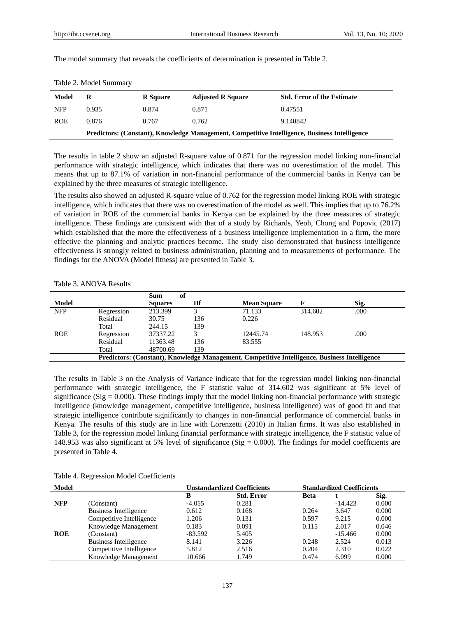|  |  |  |  |  |  |  | The model summary that reveals the coefficients of determination is presented in Table 2. |  |
|--|--|--|--|--|--|--|-------------------------------------------------------------------------------------------|--|
|--|--|--|--|--|--|--|-------------------------------------------------------------------------------------------|--|

| Model      | R<br>R Square                                                                                 |       | <b>Adjusted R Square</b> | <b>Std. Error of the Estimate</b> |  |
|------------|-----------------------------------------------------------------------------------------------|-------|--------------------------|-----------------------------------|--|
| <b>NFP</b> | 0.935                                                                                         | 0.874 | 0.871                    | 0.47551                           |  |
| <b>ROE</b> | 0.876                                                                                         | 0.767 | 0.762                    | 9.140842                          |  |
|            | Predictors: (Constant), Knowledge Management, Competitive Intelligence, Business Intelligence |       |                          |                                   |  |

Table 2. Model Summary

The results in table 2 show an adjusted R-square value of 0.871 for the regression model linking non-financial performance with strategic intelligence, which indicates that there was no overestimation of the model. This means that up to 87.1% of variation in non-financial performance of the commercial banks in Kenya can be explained by the three measures of strategic intelligence.

The results also showed an adjusted R-square value of 0.762 for the regression model linking ROE with strategic intelligence, which indicates that there was no overestimation of the model as well. This implies that up to 76.2% of variation in ROE of the commercial banks in Kenya can be explained by the three measures of strategic intelligence. These findings are consistent with that of a study by Richards, Yeoh, Chong and Popovic (2017) which established that the more the effectiveness of a business intelligence implementation in a firm, the more effective the planning and analytic practices become. The study also demonstrated that business intelligence effectiveness is strongly related to business administration, planning and to measurements of performance. The findings for the ANOVA (Model fitness) are presented in Table 3.

#### Table 3. ANOVA Results

| of<br>Sum                                                                                     |            |                |     |                    |         |      |
|-----------------------------------------------------------------------------------------------|------------|----------------|-----|--------------------|---------|------|
| <b>Model</b>                                                                                  |            | <b>Squares</b> | Df  | <b>Mean Square</b> |         | Sig. |
| <b>NFP</b>                                                                                    | Regression | 213.399        |     | 71.133             | 314.602 | .000 |
|                                                                                               | Residual   | 30.75          | 136 | 0.226              |         |      |
|                                                                                               | Total      | 244.15         | 139 |                    |         |      |
| <b>ROE</b>                                                                                    | Regression | 37337.22       | 3   | 12445.74           | 148.953 | .000 |
|                                                                                               | Residual   | 11363.48       | 136 | 83.555             |         |      |
|                                                                                               | Total      | 48700.69       | 139 |                    |         |      |
| Predictors: (Constant), Knowledge Management, Competitive Intelligence, Business Intelligence |            |                |     |                    |         |      |

The results in Table 3 on the Analysis of Variance indicate that for the regression model linking non-financial performance with strategic intelligence, the F statistic value of 314.602 was significant at 5% level of significance ( $Sig = 0.000$ ). These findings imply that the model linking non-financial performance with strategic intelligence (knowledge management, competitive intelligence, business intelligence) was of good fit and that strategic intelligence contribute significantly to changes in non-financial performance of commercial banks in Kenya. The results of this study are in line with Lorenzetti (2010) in Italian firms. It was also established in Table 3, for the regression model linking financial performance with strategic intelligence, the F statistic value of 148.953 was also significant at 5% level of significance (Sig  $= 0.000$ ). The findings for model coefficients are presented in Table 4.

|  |  |  | Table 4. Regression Model Coefficients |
|--|--|--|----------------------------------------|
|--|--|--|----------------------------------------|

| <b>Model</b> |                          |           | <b>Unstandardized Coefficients</b> |             | <b>Standardized Coefficients</b> |       |  |
|--------------|--------------------------|-----------|------------------------------------|-------------|----------------------------------|-------|--|
|              |                          | B         | <b>Std. Error</b>                  | <b>Beta</b> |                                  | Sig.  |  |
| <b>NFP</b>   | (Constant)               | $-4.055$  | 0.281                              |             | $-14.423$                        | 0.000 |  |
|              | Business Intelligence    | 0.612     | 0.168                              | 0.264       | 3.647                            | 0.000 |  |
|              | Competitive Intelligence | 1.206     | 0.131                              | 0.597       | 9.215                            | 0.000 |  |
|              | Knowledge Management     | 0.183     | 0.091                              | 0.115       | 2.017                            | 0.046 |  |
| <b>ROE</b>   | (Constant)               | $-83.592$ | 5.405                              |             | $-15.466$                        | 0.000 |  |
|              | Business Intelligence    | 8.141     | 3.226                              | 0.248       | 2.524                            | 0.013 |  |
|              | Competitive Intelligence | 5.812     | 2.516                              | 0.204       | 2.310                            | 0.022 |  |
|              | Knowledge Management     | 10.666    | 1.749                              | 0.474       | 6.099                            | 0.000 |  |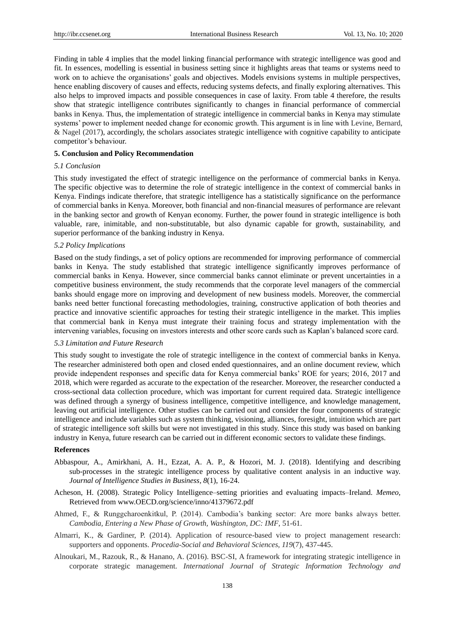Finding in table 4 implies that the model linking financial performance with strategic intelligence was good and fit. In essences, modelling is essential in business setting since it highlights areas that teams or systems need to work on to achieve the organisations' goals and objectives. Models envisions systems in multiple perspectives, hence enabling discovery of causes and effects, reducing systems defects, and finally exploring alternatives. This also helps to improved impacts and possible consequences in case of laxity. From table 4 therefore, the results show that strategic intelligence contributes significantly to changes in financial performance of commercial banks in Kenya. Thus, the implementation of strategic intelligence in commercial banks in Kenya may stimulate systems' power to implement needed change for economic growth. This argument is in line with Levine, Bernard, & Nagel (2017), accordingly, the scholars associates strategic intelligence with cognitive capability to anticipate competitor's behaviour.

#### **5. Conclusion and Policy Recommendation**

# *5.1 Conclusion*

This study investigated the effect of strategic intelligence on the performance of commercial banks in Kenya. The specific objective was to determine the role of strategic intelligence in the context of commercial banks in Kenya. Findings indicate therefore, that strategic intelligence has a statistically significance on the performance of commercial banks in Kenya. Moreover, both financial and non-financial measures of performance are relevant in the banking sector and growth of Kenyan economy. Further, the power found in strategic intelligence is both valuable, rare, inimitable, and non-substitutable, but also dynamic capable for growth, sustainability, and superior performance of the banking industry in Kenya.

#### *5.2 Policy Implications*

Based on the study findings, a set of policy options are recommended for improving performance of commercial banks in Kenya. The study established that strategic intelligence significantly improves performance of commercial banks in Kenya. However, since commercial banks cannot eliminate or prevent uncertainties in a competitive business environment, the study recommends that the corporate level managers of the commercial banks should engage more on improving and development of new business models. Moreover, the commercial banks need better functional forecasting methodologies, training, constructive application of both theories and practice and innovative scientific approaches for testing their strategic intelligence in the market. This implies that commercial bank in Kenya must integrate their training focus and strategy implementation with the intervening variables, focusing on investors interests and other score cards such as Kaplan's balanced score card.

#### *5.3 Limitation and Future Research*

This study sought to investigate the role of strategic intelligence in the context of commercial banks in Kenya. The researcher administered both open and closed ended questionnaires, and an online document review, which provide independent responses and specific data for Kenya commercial banks' ROE for years; 2016, 2017 and 2018, which were regarded as accurate to the expectation of the researcher. Moreover, the researcher conducted a cross-sectional data collection procedure, which was important for current required data. Strategic intelligence was defined through a synergy of business intelligence, competitive intelligence, and knowledge management, leaving out artificial intelligence. Other studies can be carried out and consider the four components of strategic intelligence and include variables such as system thinking, visioning, alliances, foresight, intuition which are part of strategic intelligence soft skills but were not investigated in this study. Since this study was based on banking industry in Kenya, future research can be carried out in different economic sectors to validate these findings.

# **References**

- Abbaspour, A., Amirkhani, A. H., Ezzat, A. A. P., & Hozori, M. J. (2018). Identifying and describing sub-processes in the strategic intelligence process by qualitative content analysis in an inductive way. *Journal of Intelligence Studies in Business, 8*(1), 16-24.
- Acheson, H. (2008). Strategic Policy Intelligence–setting priorities and evaluating impacts–Ireland. *Memeo,*  Retrieved from www.OECD.org/science/inno/41379672.pdf
- Ahmed, F., & Runggcharoenkitkul, P. (2014). Cambodia's banking sector: Are more banks always better. *Cambodia, Entering a New Phase of Growth, Washington, DC: IMF*, 51-61.
- Almarri, K., & Gardiner, P. (2014). Application of resource-based view to project management research: supporters and opponents. *Procedia-Social and Behavioral Sciences*, *119*(7), 437-445.
- Alnoukari, M., Razouk, R., & Hanano, A. (2016). BSC-SI, A framework for integrating strategic intelligence in corporate strategic management. *International Journal of Strategic Information Technology and*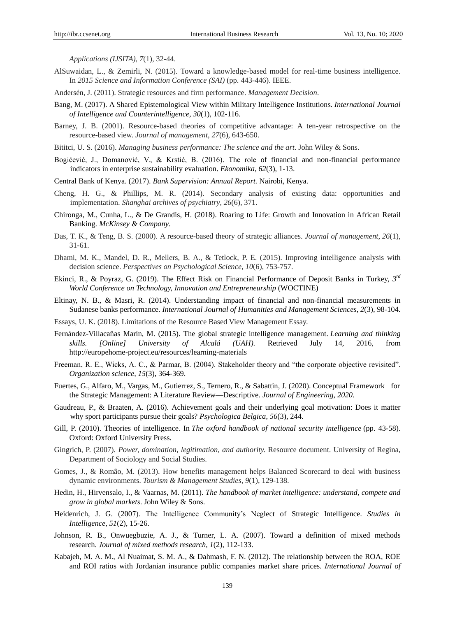*Applications (IJSITA)*, *7*(1), 32-44.

- AlSuwaidan, L., & Zemirli, N. (2015). Toward a knowledge-based model for real-time business intelligence. In *2015 Science and Information Conference (SAI)* (pp. 443-446). IEEE.
- Andersén, J. (2011). Strategic resources and firm performance. *Management Decision*.
- Bang, M. (2017). A Shared Epistemological View within Military Intelligence Institutions. *International Journal of Intelligence and Counterintelligence*, *30*(1), 102-116.
- Barney, J. B. (2001). Resource-based theories of competitive advantage: A ten-year retrospective on the resource-based view. *Journal of management*, *27*(6), 643-650.
- Bititci, U. S. (2016). *Managing business performance: The science and the art*. John Wiley & Sons.
- Bogićević, J., Domanović, V., & Krstić, B. (2016). The role of financial and non-financial performance indicators in enterprise sustainability evaluation. *Ekonomika*, *62*(3), 1-13.
- Central Bank of Kenya. (2017). *Bank Supervision: Annual Report.* Nairobi, Kenya.
- Cheng, H. G., & Phillips, M. R. (2014). Secondary analysis of existing data: opportunities and implementation. *Shanghai archives of psychiatry*, *26*(6), 371.
- Chironga, M., Cunha, L., & De Grandis, H. (2018). Roaring to Life: Growth and Innovation in African Retail Banking. *McKinsey & Company*.
- Das, T. K., & Teng, B. S. (2000). A resource-based theory of strategic alliances. *Journal of management*, *26*(1), 31-61.
- Dhami, M. K., Mandel, D. R., Mellers, B. A., & Tetlock, P. E. (2015). Improving intelligence analysis with decision science. *Perspectives on Psychological Science*, *10*(6), 753-757.
- Ekinci, R., & Poyraz, G. (2019). The Effect Risk on Financial Performance of Deposit Banks in Turkey, 3<sup>rd</sup> *World Conference on Technology, Innovation and Entrepreneurship* (WOCTINE)
- Eltinay, N. B., & Masri, R. (2014). Understanding impact of financial and non-financial measurements in Sudanese banks performance. *International Journal of Humanities and Management Sciences*, *2*(3), 98-104.
- Essays, U. K. (2018). Limitations of the Resource Based View Management Essay.
- Fernández-Villacañas Marín, M. (2015). The global strategic intelligence management. *Learning and thinking skills. [Online] University of Alcalá (UAH).* Retrieved July 14, 2016, from [http://europehome-project.e](http://europehome-project/)u/resources/learning-materials
- Freeman, R. E., Wicks, A. C., & Parmar, B. (2004). Stakeholder theory and "the corporate objective revisited". *Organization science*, *15*(3), 364-369.
- Fuertes, G., Alfaro, M., Vargas, M., Gutierrez, S., Ternero, R., & Sabattin, J. (2020). Conceptual Framework for the Strategic Management: A Literature Review—Descriptive. *Journal of Engineering*, *2020*.
- Gaudreau, P., & Braaten, A. (2016). Achievement goals and their underlying goal motivation: Does it matter why sport participants pursue their goals? *Psychologica Belgica*, *56*(3), 244.
- Gill, P. (2010). Theories of intelligence. In *The oxford handbook of national security intelligence* (pp. 43-58). Oxford: Oxford University Press.
- Gingrich, P. (2007). *Power, domination, legitimation, and authority.* Resource document. University of Regina, Department of Sociology and Social Studies.
- Gomes, J., & Romão, M. (2013). How benefits management helps Balanced Scorecard to deal with business dynamic environments. *Tourism & Management Studies*, *9*(1), 129-138.
- Hedin, H., Hirvensalo, I., & Vaarnas, M. (2011). *The handbook of market intelligence: understand, compete and grow in global markets*. John Wiley & Sons.
- Heidenrich, J. G. (2007). The Intelligence Community's Neglect of Strategic Intelligence. *Studies in Intelligence*, *51*(2), 15-26.
- Johnson, R. B., Onwuegbuzie, A. J., & Turner, L. A. (2007). Toward a definition of mixed methods research. *Journal of mixed methods research*, *1*(2), 112-133.
- Kabajeh, M. A. M., Al Nuaimat, S. M. A., & Dahmash, F. N. (2012). The relationship between the ROA, ROE and ROI ratios with Jordanian insurance public companies market share prices. *International Journal of*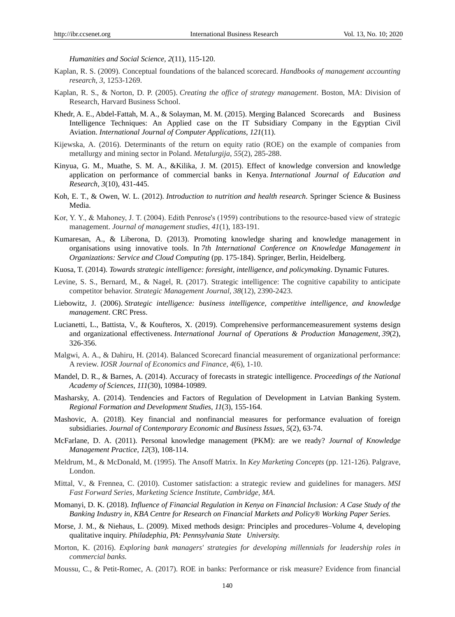*Humanities and Social Science*, *2*(11), 115-120.

- Kaplan, R. S. (2009). Conceptual foundations of the balanced scorecard. *Handbooks of management accounting research*, *3*, 1253-1269.
- Kaplan, R. S., & Norton, D. P. (2005). *Creating the office of strategy management*. Boston, MA: Division of Research, Harvard Business School.
- Khedr, A. E., Abdel-Fattah, M. A., & Solayman, M. M. (2015). Merging Balanced Scorecards and Business Intelligence Techniques: An Applied case on the IT Subsidiary Company in the Egyptian Civil Aviation. *International Journal of Computer Applications*, *121*(11).
- Kijewska, A. (2016). Determinants of the return on equity ratio (ROE) on the example of companies from metallurgy and mining sector in Poland. *Metalurgija*, *55*(2), 285-288.
- Kinyua, G. M., Muathe, S. M. A., &Kilika, J. M. (2015). Effect of knowledge conversion and knowledge application on performance of commercial banks in Kenya. *International Journal of Education and Research*, *3*(10), 431-445.
- Koh, E. T., & Owen, W. L. (2012). *Introduction to nutrition and health research*. Springer Science & Business Media.
- Kor, Y. Y., & Mahoney, J. T. (2004). Edith Penrose's (1959) contributions to the resource-based view of strategic management. *Journal of management studies*, *41*(1), 183-191.
- Kumaresan, A., & Liberona, D. (2013). Promoting knowledge sharing and knowledge management in organisations using innovative tools. In *7th International Conference on Knowledge Management in Organizations: Service and Cloud Computing* (pp. 175-184). Springer, Berlin, Heidelberg.
- Kuosa, T. (2014). *Towards strategic intelligence: foresight, intelligence, and policymaking*. Dynamic Futures.
- Levine, S. S., Bernard, M., & Nagel, R. (2017). Strategic intelligence: The cognitive capability to anticipate competitor behavior. *Strategic Management Journal*, *38*(12), 2390-2423.
- Liebowitz, J. (2006). *Strategic intelligence: business intelligence, competitive intelligence, and knowledge management*. CRC Press.
- Lucianetti, L., Battista, V., & Koufteros, X. (2019). Comprehensive performancemeasurement systems design and organizational effectiveness. *International Journal of Operations & Production Management*, *39*(2), 326-356.
- Malgwi, A. A., & Dahiru, H. (2014). Balanced Scorecard financial measurement of organizational performance: A review. *IOSR Journal of Economics and Finance*, *4*(6), 1-10.
- Mandel, D. R., & Barnes, A. (2014). Accuracy of forecasts in strategic intelligence. *Proceedings of the National Academy of Sciences*, *111*(30), 10984-10989.
- Masharsky, A. (2014). Tendencies and Factors of Regulation of Development in Latvian Banking System. *Regional Formation and Development Studies*, *11*(3), 155-164.
- Mashovic, A. (2018). Key financial and nonfinancial measures for performance evaluation of foreign subsidiaries. *Journal of Contemporary Economic and Business Issues*, *5*(2), 63-74.
- McFarlane, D. A. (2011). Personal knowledge management (PKM): are we ready? *Journal of Knowledge Management Practice*, *12*(3), 108-114.
- Meldrum, M., & McDonald, M. (1995). The Ansoff Matrix. In *Key Marketing Concepts* (pp. 121-126). Palgrave, London.
- Mittal, V., & Frennea, C. (2010). Customer satisfaction: a strategic review and guidelines for managers. *MSI Fast Forward Series, Marketing Science Institute, Cambridge, MA*.
- Momanyi, D. K. (2018). *Influence of Financial Regulation in Kenya on Financial Inclusion: A Case Study of the Banking Industry in, KBA Centre for Research on Financial Markets and Policy® Working Paper Series.*
- Morse, J. M., & Niehaus, L. (2009). Mixed methods design: Principles and procedures–Volume 4, developing qualitative inquiry. *Philadephia, PA: Pennsylvania State University.*
- Morton, K. (2016). *Exploring bank managers' strategies for developing millennials for leadership roles in commercial banks.*
- Moussu, C., & Petit-Romec, A. (2017). ROE in banks: Performance or risk measure? Evidence from financial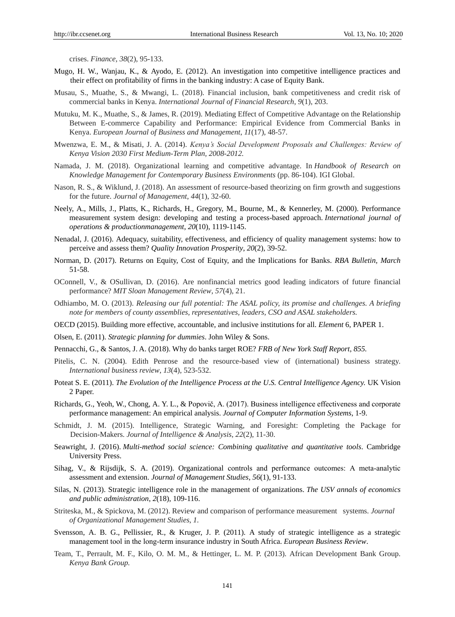crises. *Finance*, *38*(2), 95-133.

- Mugo, H. W., Wanjau, K., & Ayodo, E. (2012). An investigation into competitive intelligence practices and their effect on profitability of firms in the banking industry: A case of Equity Bank.
- Musau, S., Muathe, S., & Mwangi, L. (2018). Financial inclusion, bank competitiveness and credit risk of commercial banks in Kenya. *International Journal of Financial Research*, *9*(1), 203.
- Mutuku, M. K., Muathe, S., & James, R. (2019). Mediating Effect of Competitive Advantage on the Relationship Between E-commerce Capability and Performance: Empirical Evidence from Commercial Banks in Kenya. *European Journal of Business and Management*, *11*(17), 48-57.
- Mwenzwa, E. M., & Misati, J. A. (2014). *Kenya's Social Development Proposals and Challenges: Review of Kenya Vision 2030 First Medium-Term Plan, 2008-2012.*
- Namada, J. M. (2018). Organizational learning and competitive advantage. In *Handbook of Research on Knowledge Management for Contemporary Business Environments* (pp. 86-104). IGI Global.
- Nason, R. S., & Wiklund, J. (2018). An assessment of resource-based theorizing on firm growth and suggestions for the future. *Journal of Management*, *44*(1), 32-60.
- Neely, A., Mills, J., Platts, K., Richards, H., Gregory, M., Bourne, M., & Kennerley, M. (2000). Performance measurement system design: developing and testing a process-based approach. *International journal of operations & productionmanagement*, *20*(10), 1119-1145.
- Nenadal, J. (2016). Adequacy, suitability, effectiveness, and efficiency of quality management systems: how to perceive and assess them? *Quality Innovation Prosperity*, *20*(2), 39-52.
- Norman, D. (2017). Returns on Equity, Cost of Equity, and the Implications for Banks. *RBA Bulletin, March* 51-58.
- OConnell, V., & OSullivan, D. (2016). Are nonfinancial metrics good leading indicators of future financial performance? *MIT Sloan Management Review*, *57*(4), 21.
- Odhiambo, M. O. (2013). *Releasing our full potential: The ASAL policy, its promise and challenges. A briefing note for members of county assemblies, representatives, leaders, CSO and ASAL stakeholders.*
- OECD (2015). Building more effective, accountable, and inclusive institutions for all. *Element* 6, PAPER 1.
- Olsen, E. (2011). *Strategic planning for dummies*. John Wiley & Sons.
- Pennacchi, G., & Santos, J. A. (2018). Why do banks target ROE? *FRB of New York Staff Report*, *855.*
- Pitelis, C. N. (2004). Edith Penrose and the resource-based view of (international) business strategy. *International business review*, *13*(4), 523-532.
- Poteat S. E. (2011). *The Evolution of the Intelligence Process at the U.S. Central Intelligence Agency.* UK Vision 2 Paper.
- Richards, G., Yeoh, W., Chong, A. Y. L., & Popovič, A. (2017). Business intelligence effectiveness and corporate performance management: An empirical analysis. *Journal of Computer Information Systems*, 1-9.
- Schmidt, J. M. (2015). Intelligence, Strategic Warning, and Foresight: Completing the Package for Decision-Makers. *Journal of Intelligence & Analysis*, *22*(2), 11-30.
- Seawright, J. (2016). *Multi-method social science: Combining qualitative and quantitative tools*. Cambridge University Press.
- Sihag, V., & Rijsdijk, S. A. (2019). Organizational controls and performance outcomes: A meta‐analytic assessment and extension. *Journal of Management Studies*, *56*(1), 91-133.
- Silas, N. (2013). Strategic intelligence role in the management of organizations. *The USV annals of economics and public administration*, *2*(18), 109-116.
- Striteska, M., & Spickova, M. (2012). Review and comparison of performance measurement systems. *Journal of Organizational Management Studies*, *1.*
- Svensson, A. B. G., Pellissier, R., & Kruger, J. P. (2011). A study of strategic intelligence as a strategic management tool in the long‐term insurance industry in South Africa. *European Business Review*.
- Team, T., Perrault, M. F., Kilo, O. M. M., & Hettinger, L. M. P. (2013). African Development Bank Group. *Kenya Bank Group.*